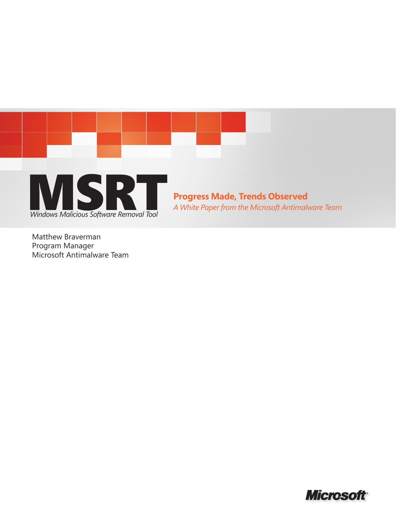

Matthew Braverman Program Manager Microsoft Antimalware Team

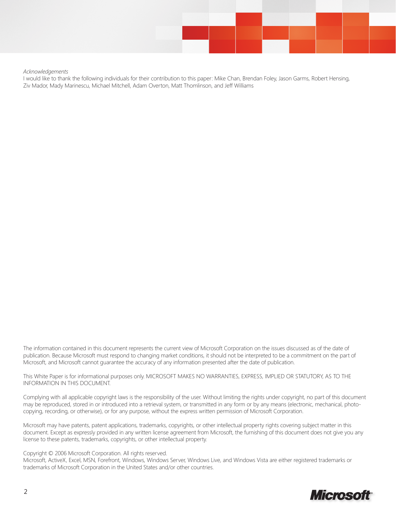

*Acknowledgements*

I would like to thank the following individuals for their contribution to this paper: Mike Chan, Brendan Foley, Jason Garms, Robert Hensing, Ziv Mador, Mady Marinescu, Michael Mitchell, Adam Overton, Matt Thomlinson, and Jeff Williams

The information contained in this document represents the current view of Microsoft Corporation on the issues discussed as of the date of publication. Because Microsoft must respond to changing market conditions, it should not be interpreted to be a commitment on the part of Microsoft, and Microsoft cannot guarantee the accuracy of any information presented after the date of publication.

This White Paper is for informational purposes only. MICROSOFT MAKES NO WARRANTIES, EXPRESS, IMPLIED OR STATUTORY, AS TO THE INFORMATION IN THIS DOCUMENT.

Complying with all applicable copyright laws is the responsibility of the user. Without limiting the rights under copyright, no part of this document may be reproduced, stored in or introduced into a retrieval system, or transmitted in any form or by any means (electronic, mechanical, photocopying, recording, or otherwise), or for any purpose, without the express written permission of Microsoft Corporation.

Microsoft may have patents, patent applications, trademarks, copyrights, or other intellectual property rights covering subject matter in this document. Except as expressly provided in any written license agreement from Microsoft, the furnishing of this document does not give you any license to these patents, trademarks, copyrights, or other intellectual property.

#### Copyright © 2006 Microsoft Corporation. All rights reserved.

Microsoft, ActiveX, Excel, MSN, Forefront, Windows, Windows Server, Windows Live, and Windows Vista are either registered trademarks or trademarks of Microsoft Corporation in the United States and/or other countries.

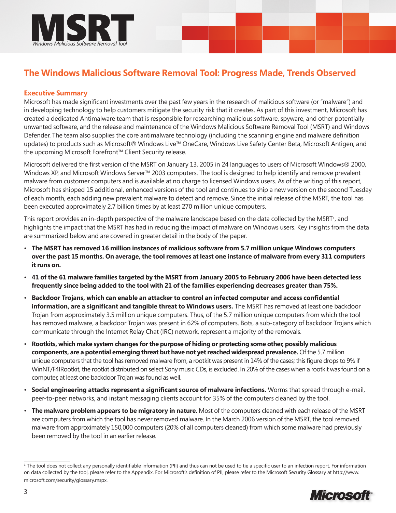

# **The Windows Malicious Software Removal Tool: Progress Made, Trends Observed**

# **Executive Summary**

Microsoft has made significant investments over the past few years in the research of malicious software (or "malware") and in developing technology to help customers mitigate the security risk that it creates. As part of this investment, Microsoft has created a dedicated Antimalware team that is responsible for researching malicious software, spyware, and other potentially unwanted software, and the release and maintenance of the Windows Malicious Software Removal Tool (MSRT) and Windows Defender. The team also supplies the core antimalware technology (including the scanning engine and malware definition updates) to products such as Microsoft® Windows Live™ OneCare, Windows Live Safety Center Beta, Microsoft Antigen, and the upcoming Microsoft Forefront™ Client Security release.

Microsoft delivered the first version of the MSRT on January 13, 2005 in 24 languages to users of Microsoft Windows® 2000, Windows XP, and Microsoft Windows Server™ 2003 computers. The tool is designed to help identify and remove prevalent malware from customer computers and is available at no charge to licensed Windows users. As of the writing of this report, Microsoft has shipped 15 additional, enhanced versions of the tool and continues to ship a new version on the second Tuesday of each month, each adding new prevalent malware to detect and remove. Since the initial release of the MSRT, the tool has been executed approximately 2.7 billion times by at least 270 million unique computers.

This report provides an in-depth perspective of the malware landscape based on the data collected by the MSRT<sup>1</sup>, and highlights the impact that the MSRT has had in reducing the impact of malware on Windows users. Key insights from the data are summarized below and are covered in greater detail in the body of the paper.

- **The MSRT has removed 16 million instances of malicious software from 5.7 million unique Windows computers over the past 15 months. On average, the tool removes at least one instance of malware from every 311 computers it runs on.**
- **41 of the 61 malware families targeted by the MSRT from January 2005 to February 2006 have been detected less frequently since being added to the tool with 21 of the families experiencing decreases greater than 75%.**
- **Backdoor Trojans, which can enable an attacker to control an infected computer and access confidential information, are a significant and tangible threat to Windows users.** The MSRT has removed at least one backdoor Trojan from approximately 3.5 million unique computers. Thus, of the 5.7 million unique computers from which the tool has removed malware, a backdoor Trojan was present in 62% of computers. Bots, a sub-category of backdoor Trojans which communicate through the Internet Relay Chat (IRC) network, represent a majority of the removals.
- **Rootkits, which make system changes for the purpose of hiding or protecting some other, possibly malicious components, are a potential emerging threat but have not yet reached widespread prevalence.** Of the 5.7 million unique computers that the tool has removed malware from, a rootkit was present in 14% of the cases; this figure drops to 9% if WinNT/F4IRootkit, the rootkit distributed on select Sony music CDs, is excluded. In 20% of the cases when a rootkit was found on a computer, at least one backdoor Trojan was found as well.
- **Social engineering attacks represent a significant source of malware infections.** Worms that spread through e-mail, peer-to-peer networks, and instant messaging clients account for 35% of the computers cleaned by the tool.
- **The malware problem appears to be migratory in nature.** Most of the computers cleaned with each release of the MSRT are computers from which the tool has never removed malware. In the March 2006 version of the MSRT, the tool removed malware from approximately 150,000 computers (20% of all computers cleaned) from which some malware had previously been removed by the tool in an earlier release.

<sup>&</sup>lt;sup>1</sup> The tool does not collect any personally identifiable information (PII) and thus can not be used to tie a specific user to an infection report. For information on data collected by the tool, please refer to the Appendix. For Microsoft's definition of PII, please refer to the Microsoft Security Glossary at http://www. microsoft.com/security/glossary.mspx.

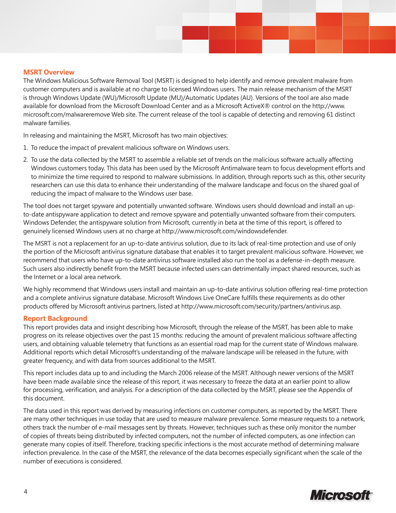#### **MSRT Overview**

The Windows Malicious Software Removal Tool (MSRT) is designed to help identify and remove prevalent malware from customer computers and is available at no charge to licensed Windows users. The main release mechanism of the MSRT is through Windows Update (WU)/Microsoft Update (MU)/Automatic Updates (AU). Versions of the tool are also made available for download from the Microsoft Download Center and as a Microsoft ActiveX® control on the http://www. microsoft.com/malwareremove Web site. The current release of the tool is capable of detecting and removing 61 distinct malware families.

In releasing and maintaining the MSRT, Microsoft has two main objectives:

- 1. To reduce the impact of prevalent malicious software on Windows users.
- 2. To use the data collected by the MSRT to assemble a reliable set of trends on the malicious software actually affecting Windows customers today. This data has been used by the Microsoft Antimalware team to focus development efforts and to minimize the time required to respond to malware submissions. In addition, through reports such as this, other security researchers can use this data to enhance their understanding of the malware landscape and focus on the shared goal of reducing the impact of malware to the Windows user base.

The tool does not target spyware and potentially unwanted software. Windows users should download and install an upto-date antispyware application to detect and remove spyware and potentially unwanted software from their computers. Windows Defender, the antispyware solution from Microsoft, currently in beta at the time of this report, is offered to genuinely licensed Windows users at no charge at http://www.microsoft.com/windowsdefender.

The MSRT is not a replacement for an up-to-date antivirus solution, due to its lack of real-time protection and use of only the portion of the Microsoft antivirus signature database that enables it to target prevalent malicious software. However, we recommend that users who have up-to-date antivirus software installed also run the tool as a defense-in-depth measure. Such users also indirectly benefit from the MSRT because infected users can detrimentally impact shared resources, such as the Internet or a local area network.

We highly recommend that Windows users install and maintain an up-to-date antivirus solution offering real-time protection and a complete antivirus signature database. Microsoft Windows Live OneCare fulfills these requirements as do other products offered by Microsoft antivirus partners, listed at http://www.microsoft.com/security/partners/antivirus.asp.

### **Report Background**

This report provides data and insight describing how Microsoft, through the release of the MSRT, has been able to make progress on its release objectives over the past 15 months: reducing the amount of prevalent malicious software affecting users, and obtaining valuable telemetry that functions as an essential road map for the current state of Windows malware. Additional reports which detail Microsoft's understanding of the malware landscape will be released in the future, with greater frequency, and with data from sources additional to the MSRT.

This report includes data up to and including the March 2006 release of the MSRT. Although newer versions of the MSRT have been made available since the release of this report, it was necessary to freeze the data at an earlier point to allow for processing, verification, and analysis. For a description of the data collected by the MSRT, please see the Appendix of this document.

The data used in this report was derived by measuring infections on customer computers, as reported by the MSRT. There are many other techniques in use today that are used to measure malware prevalence. Some measure requests to a network, others track the number of e-mail messages sent by threats. However, techniques such as these only monitor the number of copies of threats being distributed by infected computers, not the number of infected computers, as one infection can generate many copies of itself. Therefore, tracking specific infections is the most accurate method of determining malware infection prevalence. In the case of the MSRT, the relevance of the data becomes especially significant when the scale of the number of executions is considered.

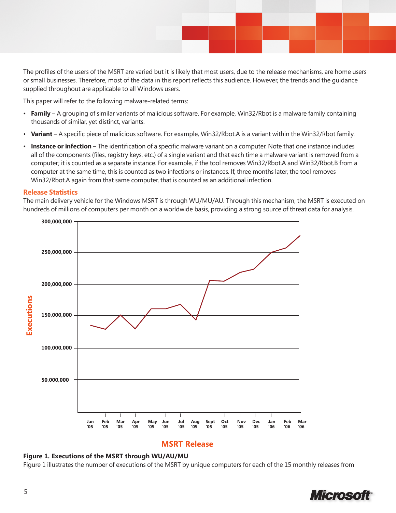The profiles of the users of the MSRT are varied but it is likely that most users, due to the release mechanisms, are home users or small businesses. Therefore, most of the data in this report reflects this audience. However, the trends and the guidance supplied throughout are applicable to all Windows users.

This paper will refer to the following malware-related terms:

- **Family** A grouping of similar variants of malicious software. For example, Win32/Rbot is a malware family containing thousands of similar, yet distinct, variants.
- **Variant** A specific piece of malicious software. For example, Win32/Rbot.A is a variant within the Win32/Rbot family.
- **Instance or infection** The identification of a specific malware variant on a computer. Note that one instance includes all of the components (files, registry keys, etc.) of a single variant and that each time a malware variant is removed from a computer; it is counted as a separate instance. For example, if the tool removes Win32/Rbot.A and Win32/Rbot.B from a computer at the same time, this is counted as two infections or instances. If, three months later, the tool removes Win32/Rbot.A again from that same computer, that is counted as an additional infection.

#### **Release Statistics**

The main delivery vehicle for the Windows MSRT is through WU/MU/AU. Through this mechanism, the MSRT is executed on hundreds of millions of computers per month on a worldwide basis, providing a strong source of threat data for analysis.



# **MSRT Release**

#### **Figure 1. Executions of the MSRT through WU/AU/MU**

Figure 1 illustrates the number of executions of the MSRT by unique computers for each of the 15 monthly releases from

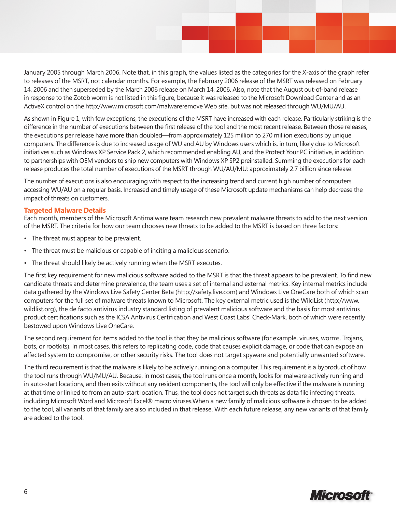January 2005 through March 2006. Note that, in this graph, the values listed as the categories for the X-axis of the graph refer to releases of the MSRT, not calendar months. For example, the February 2006 release of the MSRT was released on February 14, 2006 and then superseded by the March 2006 release on March 14, 2006. Also, note that the August out-of-band release in response to the Zotob worm is not listed in this figure, because it was released to the Microsoft Download Center and as an ActiveX control on the http://www.microsoft.com/malwareremove Web site, but was not released through WU/MU/AU.

As shown in Figure 1, with few exceptions, the executions of the MSRT have increased with each release. Particularly striking is the difference in the number of executions between the first release of the tool and the most recent release. Between those releases, the executions per release have more than doubled—from approximately 125 million to 270 million executions by unique computers. The difference is due to increased usage of WU and AU by Windows users which is, in turn, likely due to Microsoft initiatives such as Windows XP Service Pack 2, which recommended enabling AU, and the Protect Your PC initiative, in addition to partnerships with OEM vendors to ship new computers with Windows XP SP2 preinstalled. Summing the executions for each release produces the total number of executions of the MSRT through WU/AU/MU: approximately 2.7 billion since release.

The number of executions is also encouraging with respect to the increasing trend and current high number of computers accessing WU/AU on a regular basis. Increased and timely usage of these Microsoft update mechanisms can help decrease the impact of threats on customers.

#### **Targeted Malware Details**

Each month, members of the Microsoft Antimalware team research new prevalent malware threats to add to the next version of the MSRT. The criteria for how our team chooses new threats to be added to the MSRT is based on three factors:

- The threat must appear to be prevalent.
- The threat must be malicious or capable of inciting a malicious scenario.
- The threat should likely be actively running when the MSRT executes.

The first key requirement for new malicious software added to the MSRT is that the threat appears to be prevalent. To find new candidate threats and determine prevalence, the team uses a set of internal and external metrics. Key internal metrics include data gathered by the Windows Live Safety Center Beta (http://safety.live.com) and Windows Live OneCare both of which scan computers for the full set of malware threats known to Microsoft. The key external metric used is the WildList (http://www. wildlist.org), the de facto antivirus industry standard listing of prevalent malicious software and the basis for most antivirus product certifications such as the ICSA Antivirus Certification and West Coast Labs' Check-Mark, both of which were recently bestowed upon Windows Live OneCare.

The second requirement for items added to the tool is that they be malicious software (for example, viruses, worms, Trojans, bots, or rootkits). In most cases, this refers to replicating code, code that causes explicit damage, or code that can expose an affected system to compromise, or other security risks. The tool does not target spyware and potentially unwanted software.

The third requirement is that the malware is likely to be actively running on a computer. This requirement is a byproduct of how the tool runs through WU/MU/AU. Because, in most cases, the tool runs once a month, looks for malware actively running and in auto-start locations, and then exits without any resident components, the tool will only be effective if the malware is running at that time or linked to from an auto-start location. Thus, the tool does not target such threats as data file infecting threats, including Microsoft Word and Microsoft Excel® macro viruses.When a new family of malicious software is chosen to be added to the tool, all variants of that family are also included in that release. With each future release, any new variants of that family are added to the tool.

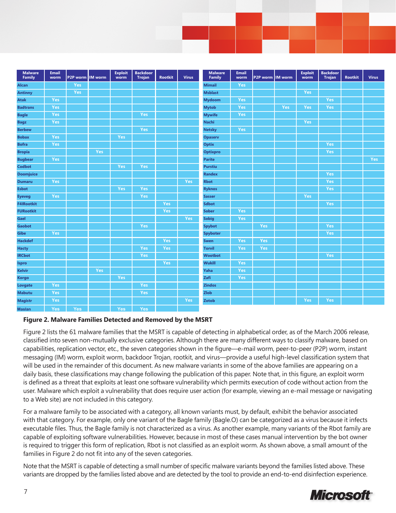| <b>Malware</b><br>Family | Email<br>worm | P2P worm   | <b>IM</b> worm | <b>Exploit</b><br>worm | <b>Backdoor</b><br><b>Trojan</b> | <b>Rootkit</b> | <b>Virus</b> | <b>Malware</b><br>Family | <b>Email</b><br>worm | P2P worm | <b>IM</b> worm | <b>Exploit</b><br>worm | <b>Backdoor</b><br><b>Trojan</b> | <b>Rootkit</b> | <b>Virus</b> |
|--------------------------|---------------|------------|----------------|------------------------|----------------------------------|----------------|--------------|--------------------------|----------------------|----------|----------------|------------------------|----------------------------------|----------------|--------------|
| Alcan                    |               | Yes        |                |                        |                                  |                |              | <b>Mimail</b>            | Yes                  |          |                |                        |                                  |                |              |
| <b>Antinny</b>           |               | Yes        |                |                        |                                  |                |              | <b>Msblast</b>           |                      |          |                | Yes                    |                                  |                |              |
| <b>Atak</b>              | Yes           |            |                |                        |                                  |                |              | <b>Mydoom</b>            | Yes                  |          |                |                        | Yes                              |                |              |
| <b>Badtrans</b>          | Yes           |            |                |                        |                                  |                |              | <b>Mytob</b>             | Yes                  |          | Yes            | <b>Yes</b>             | Yes                              |                |              |
| <b>Bagle</b>             | Yes           |            |                |                        | Yes                              |                |              | <b>Mywife</b>            | Yes                  |          |                |                        |                                  |                |              |
| <b>Bagz</b>              | Yes           |            |                |                        |                                  |                |              | <b>Nachi</b>             |                      |          |                | Yes                    |                                  |                |              |
| <b>Berbew</b>            |               |            |                |                        | Yes                              |                |              | <b>Netsky</b>            | Yes                  |          |                |                        |                                  |                |              |
| <b>Bobax</b>             | Yes           |            |                | Yes                    |                                  |                |              | <b>Opaserv</b>           |                      |          |                |                        |                                  |                |              |
| <b>Bofra</b>             | Yes           |            |                |                        |                                  |                |              | Optix                    |                      |          |                |                        | Yes                              |                |              |
| <b>Bropia</b>            |               |            | Yes            |                        |                                  |                |              | <b>Optixpro</b>          |                      |          |                |                        | Yes                              |                |              |
| <b>Bugbear</b>           | Yes           |            |                |                        |                                  |                |              | <b>Parite</b>            |                      |          |                |                        |                                  |                | Yes          |
| <b>Codbot</b>            |               |            |                | Yes                    | Yes                              |                |              | <b>Purstiu</b>           |                      |          |                |                        |                                  |                |              |
| <b>Doomjuice</b>         |               |            |                |                        |                                  |                |              | <b>Randex</b>            |                      |          |                |                        | Yes                              |                |              |
| <b>Dumaru</b>            | Yes           |            |                |                        |                                  |                | Yes          | <b>Rbot</b>              |                      |          |                |                        | Yes                              |                |              |
| <b>Esbot</b>             |               |            |                | Yes                    | Yes                              |                |              | <b>Ryknos</b>            |                      |          |                |                        | Yes                              |                |              |
| <b>Eyeveg</b>            | Yes           |            |                |                        | Yes                              |                |              | <b>Sasser</b>            |                      |          |                | Yes                    |                                  |                |              |
| <b>F4IRootkit</b>        |               |            |                |                        |                                  | Yes            |              | <b>Sdbot</b>             |                      |          |                |                        | Yes                              |                |              |
| <b>FURootkit</b>         |               |            |                |                        |                                  | Yes            |              | <b>Sober</b>             | Yes                  |          |                |                        |                                  |                |              |
| Gael                     |               |            |                |                        |                                  |                | Yes          | <b>Sobig</b>             | Yes                  |          |                |                        |                                  |                |              |
| <b>Gaobot</b>            |               |            |                |                        | Yes                              |                |              | <b>Spybot</b>            |                      | Yes      |                |                        | Yes                              |                |              |
| Gibe                     | Yes           |            |                |                        |                                  |                |              | <b>Spyboter</b>          |                      |          |                |                        | Yes                              |                |              |
| <b>Hackdef</b>           |               |            |                |                        |                                  | Yes            |              | <b>Swen</b>              | Yes                  | Yes      |                |                        |                                  |                |              |
| <b>Hacty</b>             |               |            |                |                        | Yes                              | Yes            |              | <b>Torvil</b>            | Yes                  | Yes      |                |                        |                                  |                |              |
| <b>IRCbot</b>            |               |            |                |                        | Yes                              |                |              | <b>Wootbot</b>           |                      |          |                |                        | Yes                              |                |              |
| Ispro                    |               |            |                |                        |                                  | <b>Yes</b>     |              | <b>Wukill</b>            | Yes                  |          |                |                        |                                  |                |              |
| <b>Kelvir</b>            |               |            | Yes            |                        |                                  |                |              | Yaha                     | Yes                  |          |                |                        |                                  |                |              |
| <b>Korgo</b>             |               |            |                | Yes                    |                                  |                |              | Zafi                     | Yes                  |          |                |                        |                                  |                |              |
| Lovgate                  | Yes           |            |                |                        | Yes                              |                |              | <b>Zindos</b>            |                      |          |                |                        |                                  |                |              |
| <b>Mabutu</b>            | Yes           |            |                |                        | Yes                              |                |              | Zlob                     |                      |          |                |                        |                                  |                |              |
| <b>Magistr</b>           | Yes           |            |                |                        |                                  |                | Yes          | Zotob                    |                      |          |                | Yes                    | Yes                              |                |              |
| <b>Maslan</b>            | Yes           | <b>Yes</b> |                | <b>Yes</b>             | <b>Yes</b>                       |                |              |                          |                      |          |                |                        |                                  |                |              |

### **Figure 2. Malware Families Detected and Removed by the MSRT**

Figure 2 lists the 61 malware families that the MSRT is capable of detecting in alphabetical order, as of the March 2006 release, classified into seven non-mutually exclusive categories. Although there are many different ways to classify malware, based on capabilities, replication vector, etc., the seven categories shown in the figure—e-mail worm, peer-to-peer (P2P) worm, instant messaging (IM) worm, exploit worm, backdoor Trojan, rootkit, and virus—provide a useful high-level classification system that will be used in the remainder of this document. As new malware variants in some of the above families are appearing on a daily basis, these classifications may change following the publication of this paper. Note that, in this figure, an exploit worm is defined as a threat that exploits at least one software vulnerability which permits execution of code without action from the user. Malware which exploit a vulnerability that does require user action (for example, viewing an e-mail message or navigating to a Web site) are not included in this category.

For a malware family to be associated with a category, all known variants must, by default, exhibit the behavior associated with that category. For example, only one variant of the Bagle family (Bagle.O) can be categorized as a virus because it infects executable files. Thus, the Bagle family is not characterized as a virus. As another example, many variants of the Rbot family are capable of exploiting software vulnerabilities. However, because in most of these cases manual intervention by the bot owner is required to trigger this form of replication, Rbot is not classified as an exploit worm. As shown above, a small amount of the families in Figure 2 do not fit into any of the seven categories.

Note that the MSRT is capable of detecting a small number of specific malware variants beyond the families listed above. These variants are dropped by the families listed above and are detected by the tool to provide an end-to-end disinfection experience.

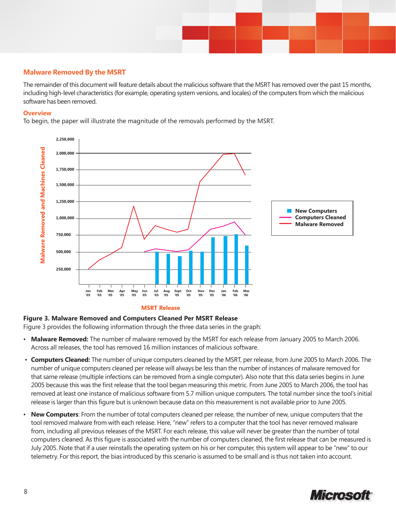

# **Malware Removed By the MSRT**

The remainder of this document will feature details about the malicious software that the MSRT has removed over the past 15 months, including high-level characteristics (for example, operating system versions, and locales) of the computers from which the malicious software has been removed.

#### **Overview**

To begin, the paper will illustrate the magnitude of the removals performed by the MSRT.



#### **MSRT Release**

#### **Figure 3. Malware Removed and Computers Cleaned Per MSRT Release**

Figure 3 provides the following information through the three data series in the graph:

- **Malware Removed:** The number of malware removed by the MSRT for each release from January 2005 to March 2006. Across all releases, the tool has removed 16 million instances of malicious software.
- **Computers Cleaned:** The number of unique computers cleaned by the MSRT, per release, from June 2005 to March 2006. The number of unique computers cleaned per release will always be less than the number of instances of malware removed for that same release (multiple infections can be removed from a single computer). Also note that this data series begins in June 2005 because this was the first release that the tool began measuring this metric. From June 2005 to March 2006, the tool has removed at least one instance of malicious software from 5.7 million unique computers. The total number since the tool's initial release is larger than this figure but is unknown because data on this measurement is not available prior to June 2005.
- **New Computers**: From the number of total computers cleaned per release, the number of new, unique computers that the tool removed malware from with each release. Here, "new" refers to a computer that the tool has never removed malware from, including all previous releases of the MSRT. For each release, this value will never be greater than the number of total computers cleaned. As this figure is associated with the number of computers cleaned, the first release that can be measured is July 2005. Note that if a user reinstalls the operating system on his or her computer, this system will appear to be "new" to our telemetry. For this report, the bias introduced by this scenario is assumed to be small and is thus not taken into account.

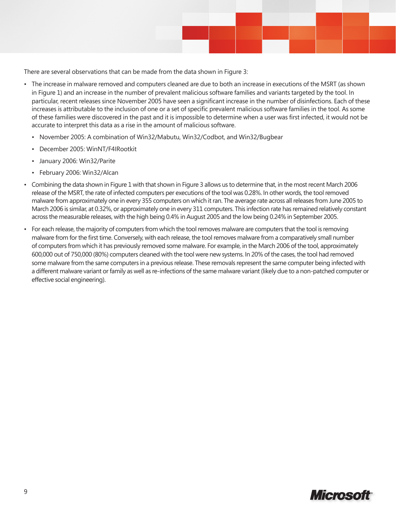There are several observations that can be made from the data shown in Figure 3:

- The increase in malware removed and computers cleaned are due to both an increase in executions of the MSRT (as shown in Figure 1) and an increase in the number of prevalent malicious software families and variants targeted by the tool. In particular, recent releases since November 2005 have seen a significant increase in the number of disinfections. Each of these increases is attributable to the inclusion of one or a set of specific prevalent malicious software families in the tool. As some of these families were discovered in the past and it is impossible to determine when a user was first infected, it would not be accurate to interpret this data as a rise in the amount of malicious software.
	- November 2005: A combination of Win32/Mabutu, Win32/Codbot, and Win32/Bugbear
	- December 2005: WinNT/F4IRootkit
	- January 2006: Win32/Parite
	- February 2006: Win32/Alcan
- Combining the data shown in Figure 1 with that shown in Figure 3 allows us to determine that, in the most recent March 2006 release of the MSRT, the rate of infected computers per executions of the tool was 0.28%. In other words, the tool removed malware from approximately one in every 355 computers on which it ran. The average rate across all releases from June 2005 to March 2006 is similar, at 0.32%, or approximately one in every 311 computers. This infection rate has remained relatively constant across the measurable releases, with the high being 0.4% in August 2005 and the low being 0.24% in September 2005.
- For each release, the majority of computers from which the tool removes malware are computers that the tool is removing malware from for the first time. Conversely, with each release, the tool removes malware from a comparatively small number of computers from which it has previously removed some malware. For example, in the March 2006 of the tool, approximately 600,000 out of 750,000 (80%) computers cleaned with the tool were new systems. In 20% of the cases, the tool had removed some malware from the same computers in a previous release. These removals represent the same computer being infected with a different malware variant or family as well as re-infections of the same malware variant (likely due to a non-patched computer or effective social engineering).

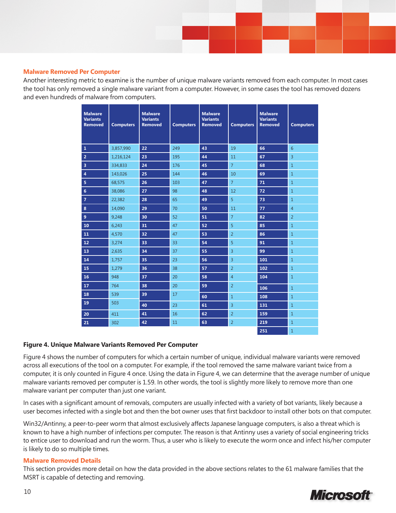#### **Malware Removed Per Computer**

Another interesting metric to examine is the number of unique malware variants removed from each computer. In most cases the tool has only removed a single malware variant from a computer. However, in some cases the tool has removed dozens and even hundreds of malware from computers.

| <b>Malware</b><br><b>Variants</b><br><b>Removed</b> | <b>Computers</b> | <b>Malware</b><br><b>Variants</b><br><b>Removed</b> | <b>Computers</b> | <b>Malware</b><br><b>Variants</b><br><b>Removed</b> | <b>Computers</b> | <b>Malware</b><br><b>Variants</b><br><b>Removed</b> | <b>Computers</b> |
|-----------------------------------------------------|------------------|-----------------------------------------------------|------------------|-----------------------------------------------------|------------------|-----------------------------------------------------|------------------|
| $\mathbf{1}$                                        | 3,857,990        | 22                                                  | 249              | 43                                                  | 19               | 66                                                  | $6\overline{6}$  |
| $\overline{\mathbf{2}}$                             | 1,216,124        | 23                                                  | 195              | 44                                                  | 11               | 67                                                  | $\overline{3}$   |
| 3                                                   | 334,833          | 24                                                  | 176              | 45                                                  | $\overline{7}$   | 68                                                  | $1\,$            |
| 4                                                   | 143,026          | 25                                                  | 144              | 46                                                  | 10               | 69                                                  | $1\,$            |
| 5                                                   | 68,575           | 26                                                  | 103              | 47                                                  | $\overline{7}$   | 71                                                  | $\mathbf{1}$     |
| $6\phantom{a}$                                      | 38,086           | 27                                                  | 98               | 48                                                  | 12               | 72                                                  | $\mathbf{1}$     |
| $\overline{7}$                                      | 22,382           | 28                                                  | 65               | 49                                                  | $\overline{5}$   | 73                                                  | $\mathbf{1}$     |
| 8                                                   | 14,090           | 29                                                  | 70               | 50                                                  | 11               | 77                                                  | $\overline{4}$   |
| $\boldsymbol{9}$                                    | 9,248            | 30                                                  | 52               | 51                                                  | $\overline{7}$   | 82                                                  | $\overline{2}$   |
| 10                                                  | 6,243            | 31                                                  | 47               | 52                                                  | 5                | 85                                                  | $\mathbf{1}$     |
| 11                                                  | 4,570            | 32                                                  | 47               | 53                                                  | $\overline{2}$   | 86                                                  | $1\,$            |
| 12                                                  | 3,274            | 33                                                  | 33               | 54                                                  | $\overline{5}$   | 91                                                  | $1\,$            |
| 13                                                  | 2,635            | 34                                                  | 37               | 55                                                  | $\overline{3}$   | 99                                                  | $1\,$            |
| 14                                                  | 1,757            | 35                                                  | 23               | 56                                                  | $\overline{3}$   | 101                                                 | $1\,$            |
| 15                                                  | 1,279            | 36                                                  | 38               | 57                                                  | $\overline{2}$   | 102                                                 | $\mathbf{1}$     |
| 16                                                  | 948              | 37                                                  | 20               | 58                                                  | $\overline{4}$   | 104                                                 | $1\,$            |
| 17                                                  | 764              | 38                                                  | 20               | 59                                                  | $\overline{2}$   | 106                                                 | $1\,$            |
| 18                                                  | 539              | 39                                                  | 17               | 60                                                  | $\mathbf{1}$     | 108                                                 | $1\,$            |
| 19                                                  | 503              | 40                                                  | 23               | 61                                                  | 3                | 131                                                 | $\mathbf{1}$     |
| 20                                                  | 411              | 41                                                  | 16               | 62                                                  | $\overline{2}$   | 159                                                 | $\mathbf{1}$     |
| 21                                                  | 302              | 42                                                  | 11               | 63                                                  | $\overline{2}$   | 219                                                 | $\mathbf{1}$     |
|                                                     |                  |                                                     |                  |                                                     |                  | 251                                                 | $\mathbf{1}$     |

### **Figure 4. Unique Malware Variants Removed Per Computer**

Figure 4 shows the number of computers for which a certain number of unique, individual malware variants were removed across all executions of the tool on a computer. For example, if the tool removed the same malware variant twice from a computer, it is only counted in Figure 4 once. Using the data in Figure 4, we can determine that the average number of unique malware variants removed per computer is 1.59. In other words, the tool is slightly more likely to remove more than one malware variant per computer than just one variant.

In cases with a significant amount of removals, computers are usually infected with a variety of bot variants, likely because a user becomes infected with a single bot and then the bot owner uses that first backdoor to install other bots on that computer.

Win32/Antinny, a peer-to-peer worm that almost exclusively affects Japanese language computers, is also a threat which is known to have a high number of infections per computer. The reason is that Antinny uses a variety of social engineering tricks to entice user to download and run the worm. Thus, a user who is likely to execute the worm once and infect his/her computer is likely to do so multiple times.

#### **Malware Removed Details**

This section provides more detail on how the data provided in the above sections relates to the 61 malware families that the MSRT is capable of detecting and removing.

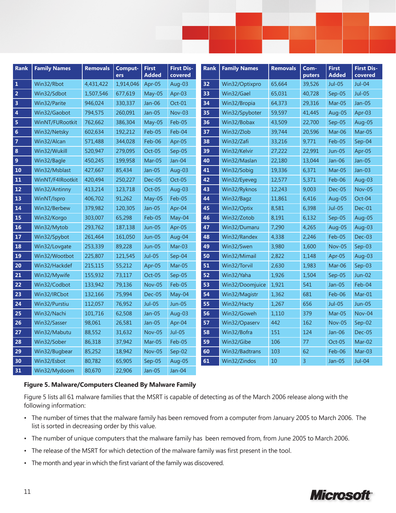| <b>Rank</b>             | <b>Family Names</b> | <b>Removals</b> | Comput-<br>ers | <b>First</b><br><b>Added</b> | <b>First Dis-</b><br>covered | <b>Rank</b> | <b>Family Names</b> | <b>Removals</b> | Com-<br>puters | <b>First</b><br><b>Added</b> | <b>First Dis-</b><br>covered |
|-------------------------|---------------------|-----------------|----------------|------------------------------|------------------------------|-------------|---------------------|-----------------|----------------|------------------------------|------------------------------|
| -1                      | Win32/Rbot          | 4,431,422       | 1,914,046      | Apr-05                       | Aug-03                       | 32          | Win32/Optixpro      | 65,664          | 39,526         | Jul-05                       | $Jul-04$                     |
| $\overline{2}$          | Win32/Sdbot         | 1,507,546       | 677,619        | May-05                       | Apr-03                       | 33          | Win32/Gael          | 65,031          | 40,728         | Sep-05                       | <b>Jul-05</b>                |
| $\overline{\mathbf{3}}$ | Win32/Parite        | 946,024         | 330,337        | $Jan-06$                     | $Oct-01$                     | 34          | Win32/Bropia        | 64,373          | 29,316         | Mar-05                       | Jan-05                       |
| $\vert$ 4               | Win32/Gaobot        | 794,575         | 260,091        | Jan-05                       | $Nov-03$                     | 35          | Win32/Spyboter      | 59,597          | 41,445         | Aug-05                       | Apr-03                       |
| 5                       | WinNT/FURootkit     | 762,662         | 386,304        | May-05                       | Feb-05                       | 36          | Win32/Bobax         | 43,509          | 22,700         | $Sep-05$                     | Aug-05                       |
| $6\overline{6}$         | Win32/Netsky        | 602,634         | 192,212        | Feb-05                       | Feb-04                       | 37          | Win32/Zlob          | 39,744          | 20,596         | Mar-06                       | Mar-05                       |
| $\vert$ 7               | Win32/Alcan         | 571,488         | 344,028        | Feb-06                       | Apr-05                       | 38          | Win32/Zafi          | 33,216          | 9,771          | Feb-05                       | Sep-04                       |
| 8                       | Win32/Wukill        | 520,947         | 279,095        | $Oct-05$                     | $Sep-05$                     | 39          | Win32/Kelvir        | 27,222          | 22,991         | <b>Jun-05</b>                | Apr-05                       |
| $\overline{9}$          | Win32/Bagle         | 450,245         | 199,958        | Mar-05                       | Jan-04                       | 40          | Win32/Maslan        | 22,180          | 13,044         | $Jan-06$                     | Jan-05                       |
| <b>10</b>               | Win32/Msblast       | 427,667         | 85,434         | $Jan-05$                     | Aug-03                       | 41          | Win32/Sobig         | 19,336          | 6,371          | Mar-05                       | Jan-03                       |
| <b>11</b>               | WinNT/F4IRootkit    | 420,494         | 250,227        | Dec-05                       | Oct-05                       | 42          | Win32/Eyeveg        | 12,577          | 5,371          | Feb-06                       | Aug-03                       |
| 12                      | Win32/Antinny       | 413,214         | 123,718        | Oct-05                       | Aug-03                       | 43          | Win32/Ryknos        | 12,243          | 9,003          | Dec-05                       | <b>Nov-05</b>                |
| <b>13</b>               | WinNT/Ispro         | 406,702         | 91,262         | May-05                       | Feb-05                       | 44          | Win32/Bagz          | 11,861          | 6,416          | Aug-05                       | Oct-04                       |
| 14                      | Win32/Berbew        | 379,982         | 120,305        | $Jan-05$                     | Apr-04                       | 45          | Win32/Optix         | 8,581           | 6,398          | $Jul-05$                     | Dec-01                       |
| 15                      | Win32/Korgo         | 303,007         | 65,298         | Feb-05                       | May-04                       | 46          | Win32/Zotob         | 8,191           | 6,132          | $Sep-05$                     | Aug-05                       |
| <b>16</b>               | Win32/Mytob         | 293,762         | 187,138        | Jun-05                       | Apr-05                       | 47          | Win32/Dumaru        | 7,290           | 4,265          | Aug-05                       | Aug-03                       |
| <b>17</b>               | Win32/Spybot        | 261,464         | 161,050        | <b>Jun-05</b>                | Aug-04                       | 48          | Win32/Randex        | 4,338           | 2,246          | Feb-05                       | Dec-03                       |
| <b>18</b>               | Win32/Lovgate       | 253,339         | 89,228         | <b>Jun-05</b>                | $Mar-03$                     | 49          | Win32/Swen          | 3,980           | 1,600          | <b>Nov-05</b>                | $Sep-03$                     |
| 19                      | Win32/Wootbot       | 225,807         | 121,545        | $Jul-05$                     | Sep-04                       | 50          | Win32/Mimail        | 2,822           | 1,148          | Apr-05                       | Aug-03                       |
| 20                      | Win32/Hackdef       | 215,115         | 55,212         | Apr-05                       | Mar-05                       | 51          | Win32/Torvil        | 2,630           | 1,983          | Mar-06                       | $Sep-03$                     |
| 21                      | Win32/Mywife        | 155,932         | 73,117         | $Oct-05$                     | Sep-05                       | 52          | Win32/Yaha          | 1,926           | 1,504          | Sep-05                       | $Jun-02$                     |
| 22                      | Win32/Codbot        | 133,942         | 79,136         | $Nov-05$                     | Feb-05                       | 53          | Win32/Doomjuice     | 1,921           | 541            | Jan-05                       | Feb-04                       |
| 23                      | Win32/IRCbot        | 132,166         | 75,994         | $Dec-05$                     | May-04                       | 54          | Win32/Magistr       | 1,362           | 681            | Feb-06                       | Mar-01                       |
| 24                      | Win32/Purstiu       | 112,057         | 76,952         | $Jul-05$                     | <b>Jun-05</b>                | 55          | Win32/Hacty         | 1,267           | 656            | Jul-05                       | <b>Jun-05</b>                |
| 25                      | Win32/Nachi         | 101,716         | 62,508         | Jan-05                       | Aug-03                       | 56          | Win32/Goweh         | 1,110           | 379            | Mar-05                       | Nov-04                       |
| 26                      | Win32/Sasser        | 98,061          | 26,581         | Jan-05                       | Apr-04                       | 57          | Win32/Opaserv       | 442             | 162            | <b>Nov-05</b>                | Sep-02                       |
| 27                      | Win32/Mabutu        | 88,552          | 31,632         | $Nov-05$                     | <b>Jul-05</b>                | 58          | Win32/Bofra         | 151             | 124            | $Jan-06$                     | Dec-05                       |
| 28                      | Win32/Sober         | 86,318          | 37,942         | Mar-05                       | Feb-05                       | 59          | Win32/Gibe          | 106             | 77             | Oct-05                       | Mar-02                       |
| 29                      | Win32/Bugbear       | 85,252          | 18,942         | <b>Nov-05</b>                | Sep-02                       | 60          | Win32/Badtrans      | 103             | 62             | Feb-06                       | Mar-03                       |
| 30                      | Win32/Esbot         | 80,782          | 65,905         | $Sep-05$                     | Aug-05                       | 61          | Win32/Zindos        | 10              | 3              | Jan-05                       | $Jul-04$                     |
| 31                      | Win32/Mydoom        | 80,670          | 22,906         | Jan-05                       | Jan-04                       |             |                     |                 |                |                              |                              |

# **Figure 5. Malware/Computers Cleaned By Malware Family**

Figure 5 lists all 61 malware families that the MSRT is capable of detecting as of the March 2006 release along with the following information:

- The number of times that the malware family has been removed from a computer from January 2005 to March 2006. The list is sorted in decreasing order by this value.
- The number of unique computers that the malware family has been removed from, from June 2005 to March 2006.
- The release of the MSRT for which detection of the malware family was first present in the tool.
- The month and year in which the first variant of the family was discovered.

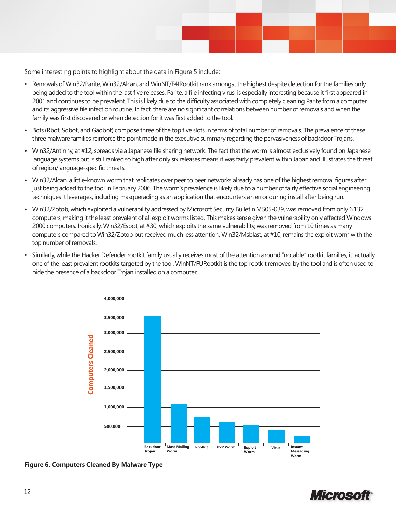

Some interesting points to highlight about the data in Figure 5 include:

- Removals of Win32/Parite, Win32/Alcan, and WinNT/F4IRootkit rank amongst the highest despite detection for the families only being added to the tool within the last five releases. Parite, a file infecting virus, is especially interesting because it first appeared in 2001 and continues to be prevalent. This is likely due to the difficulty associated with completely cleaning Parite from a computer and its aggressive file infection routine. In fact, there are no significant correlations between number of removals and when the family was first discovered or when detection for it was first added to the tool.
- Bots (Rbot, Sdbot, and Gaobot) compose three of the top five slots in terms of total number of removals. The prevalence of these three malware families reinforce the point made in the executive summary regarding the pervasiveness of backdoor Trojans.
- Win32/Antinny, at #12, spreads via a Japanese file sharing network. The fact that the worm is almost exclusively found on Japanese language systems but is still ranked so high after only six releases means it was fairly prevalent within Japan and illustrates the threat of region/language-specific threats.
- Win32/Alcan, a little-known worm that replicates over peer to peer networks already has one of the highest removal figures after just being added to the tool in February 2006. The worm's prevalence is likely due to a number of fairly effective social engineering techniques it leverages, including masquerading as an application that encounters an error during install after being run.
- Win32/Zotob, which exploited a vulnerability addressed by Microsoft Security Bulletin MS05-039, was removed from only 6,132 computers, making it the least prevalent of all exploit worms listed. This makes sense given the vulnerability only affected Windows 2000 computers. Ironically, Win32/Esbot, at #30, which exploits the same vulnerability, was removed from 10 times as many computers compared to Win32/Zotob but received much less attention. Win32/Msblast, at #10, remains the exploit worm with the top number of removals.
- Similarly, while the Hacker Defender rootkit family usually receives most of the attention around "notable" rootkit families, it actually one of the least prevalent rootkits targeted by the tool. WinNT/FURootkit is the top rootkit removed by the tool and is often used to hide the presence of a backdoor Trojan installed on a computer.



**Figure 6. Computers Cleaned By Malware Type**

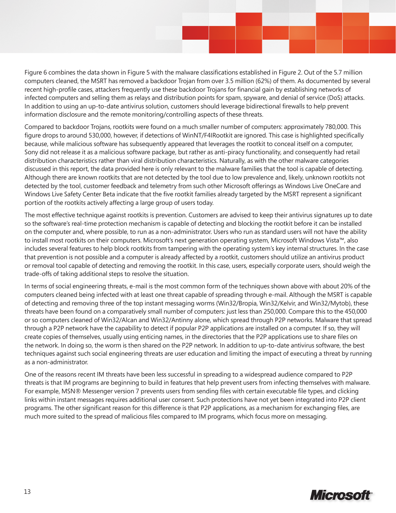Figure 6 combines the data shown in Figure 5 with the malware classifications established in Figure 2. Out of the 5.7 million computers cleaned, the MSRT has removed a backdoor Trojan from over 3.5 million (62%) of them. As documented by several recent high-profile cases, attackers frequently use these backdoor Trojans for financial gain by establishing networks of infected computers and selling them as relays and distribution points for spam, spyware, and denial of service (DoS) attacks. In addition to using an up-to-date antivirus solution, customers should leverage bidirectional firewalls to help prevent information disclosure and the remote monitoring/controlling aspects of these threats.

Compared to backdoor Trojans, rootkits were found on a much smaller number of computers: approximately 780,000. This figure drops to around 530,000, however, if detections of WinNT/F4IRootkit are ignored. This case is highlighted specifically because, while malicious software has subsequently appeared that leverages the rootkit to conceal itself on a computer, Sony did not release it as a malicious software package, but rather as anti-piracy functionality, and consequently had retail distribution characteristics rather than viral distribution characteristics. Naturally, as with the other malware categories discussed in this report, the data provided here is only relevant to the malware families that the tool is capable of detecting. Although there are known rootkits that are not detected by the tool due to low prevalence and, likely, unknown rootkits not detected by the tool, customer feedback and telemetry from such other Microsoft offerings as Windows Live OneCare and Windows Live Safety Center Beta indicate that the five rootkit families already targeted by the MSRT represent a significant portion of the rootkits actively affecting a large group of users today.

The most effective technique against rootkits is prevention. Customers are advised to keep their antivirus signatures up to date so the software's real-time protection mechanism is capable of detecting and blocking the rootkit before it can be installed on the computer and, where possible, to run as a non-administrator. Users who run as standard users will not have the ability to install most rootkits on their computers. Microsoft's next generation operating system, Microsoft Windows Vista™, also includes several features to help block rootkits from tampering with the operating system's key internal structures. In the case that prevention is not possible and a computer is already affected by a rootkit, customers should utilize an antivirus product or removal tool capable of detecting and removing the rootkit. In this case, users, especially corporate users, should weigh the trade-offs of taking additional steps to resolve the situation.

In terms of social engineering threats, e-mail is the most common form of the techniques shown above with about 20% of the computers cleaned being infected with at least one threat capable of spreading through e-mail. Although the MSRT is capable of detecting and removing three of the top instant messaging worms (Win32/Bropia, Win32/Kelvir, and Win32/Mytob), these threats have been found on a comparatively small number of computers: just less than 250,000. Compare this to the 450,000 or so computers cleaned of Win32/Alcan and Win32/Antinny alone, which spread through P2P networks. Malware that spread through a P2P network have the capability to detect if popular P2P applications are installed on a computer. If so, they will create copies of themselves, usually using enticing names, in the directories that the P2P applications use to share files on the network. In doing so, the worm is then shared on the P2P network. In addition to up-to-date antivirus software, the best techniques against such social engineering threats are user education and limiting the impact of executing a threat by running as a non-administrator.

One of the reasons recent IM threats have been less successful in spreading to a widespread audience compared to P2P threats is that IM programs are beginning to build in features that help prevent users from infecting themselves with malware. For example, MSN® Messenger version 7 prevents users from sending files with certain executable file types, and clicking links within instant messages requires additional user consent. Such protections have not yet been integrated into P2P client programs. The other significant reason for this difference is that P2P applications, as a mechanism for exchanging files, are much more suited to the spread of malicious files compared to IM programs, which focus more on messaging.

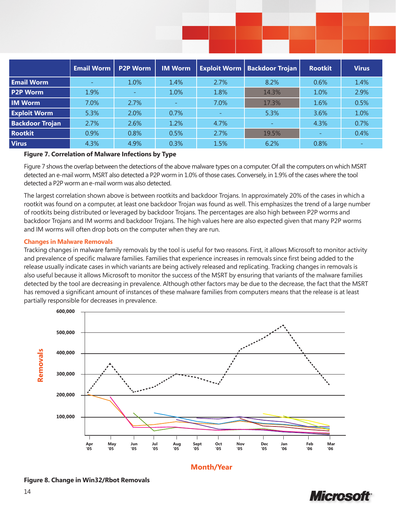|                        | <b>Email Worm</b>        | <b>P2P Worm</b> | <b>IM Worm</b> |                          | <b>Exploit Worm   Backdoor Trojan</b> | <b>Rootkit</b>           | <b>Virus</b> |
|------------------------|--------------------------|-----------------|----------------|--------------------------|---------------------------------------|--------------------------|--------------|
| <b>Email Worm</b>      | $\overline{\phantom{a}}$ | 1.0%            | 1.4%           | 2.7%                     | 8.2%                                  | 0.6%                     | 1.4%         |
| <b>P2P Worm</b>        | 1.9%                     |                 | 1.0%           | 1.8%                     | 14.3%                                 | 1.0%                     | 2.9%         |
| <b>IM Worm</b>         | 7.0%                     | 2.7%            |                | 7.0%                     | 17.3%                                 | 1.6%                     | 0.5%         |
| <b>Exploit Worm</b>    | 5.3%                     | 2.0%            | 0.7%           | $\overline{\phantom{a}}$ | 5.3%                                  | 3.6%                     | 1.0%         |
| <b>Backdoor Trojan</b> | 2.7%                     | 2.6%            | 1.2%           | 4.7%                     |                                       | 4.3%                     | 0.7%         |
| <b>Rootkit</b>         | 0.9%                     | 0.8%            | 0.5%           | 2.7%                     | 19.5%                                 | $\overline{\phantom{a}}$ | 0.4%         |
| <b>Virus</b>           | 4.3%                     | 4.9%            | 0.3%           | 1.5%                     | 6.2%                                  | 0.8%                     |              |

#### **Figure 7. Correlation of Malware Infections by Type**

Figure 7 shows the overlap between the detections of the above malware types on a computer. Of all the computers on which MSRT detected an e-mail worm, MSRT also detected a P2P worm in 1.0% of those cases. Conversely, in 1.9% of the cases where the tool detected a P2P worm an e-mail worm was also detected.

The largest correlation shown above is between rootkits and backdoor Trojans. In approximately 20% of the cases in which a rootkit was found on a computer, at least one backdoor Trojan was found as well. This emphasizes the trend of a large number of rootkits being distributed or leveraged by backdoor Trojans. The percentages are also high between P2P worms and backdoor Trojans and IM worms and backdoor Trojans. The high values here are also expected given that many P2P worms and IM worms will often drop bots on the computer when they are run.

#### **Changes in Malware Removals**

Tracking changes in malware family removals by the tool is useful for two reasons. First, it allows Microsoft to monitor activity and prevalence of specific malware families. Families that experience increases in removals since first being added to the release usually indicate cases in which variants are being actively released and replicating. Tracking changes in removals is also useful because it allows Microsoft to monitor the success of the MSRT by ensuring that variants of the malware families detected by the tool are decreasing in prevalence. Although other factors may be due to the decrease, the fact that the MSRT has removed a significant amount of instances of these malware families from computers means that the release is at least partially responsible for decreases in prevalence.



**Month/Year**



**Figure 8. Change in Win32/Rbot Removals**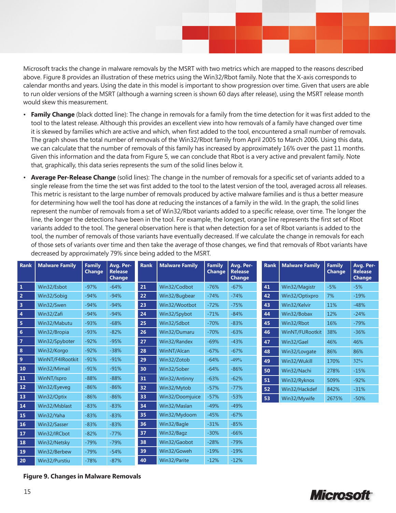Microsoft tracks the change in malware removals by the MSRT with two metrics which are mapped to the reasons described above. Figure 8 provides an illustration of these metrics using the Win32/Rbot family. Note that the X-axis corresponds to calendar months and years. Using the date in this model is important to show progression over time. Given that users are able to run older versions of the MSRT (although a warning screen is shown 60 days after release), using the MSRT release month would skew this measurement.

- **Family Change** (black dotted line): The change in removals for a family from the time detection for it was first added to the tool to the latest release. Although this provides an excellent view into how removals of a family have changed over time it is skewed by families which are active and which, when first added to the tool, encountered a small number of removals. The graph shows the total number of removals of the Win32/Rbot family from April 2005 to March 2006. Using this data, we can calculate that the number of removals of this family has increased by approximately 16% over the past 11 months. Given this information and the data from Figure 5, we can conclude that Rbot is a very active and prevalent family. Note that, graphically, this data series represents the sum of the solid lines below it.
- **Average Per-Release Change** (solid lines): The change in the number of removals for a specific set of variants added to a single release from the time the set was first added to the tool to the latest version of the tool, averaged across all releases. This metric is resistant to the large number of removals produced by active malware families and is thus a better measure for determining how well the tool has done at reducing the instances of a family in the wild. In the graph, the solid lines represent the number of removals from a set of Win32/Rbot variants added to a specific release, over time. The longer the line, the longer the detections have been in the tool. For example, the longest, orange line represents the first set of Rbot variants added to the tool. The general observation here is that when detection for a set of Rbot variants is added to the tool, the number of removals of those variants have eventually decreased. If we calculate the change in removals for each of those sets of variants over time and then take the average of those changes, we find that removals of Rbot variants have decreased by approximately 79% since being added to the MSRT.

| <b>Rank</b>             | <b>Malware Family</b> | <b>Family</b><br><b>Change</b> | Avg. Per-<br><b>Release</b><br><b>Change</b> | <b>Rank</b> | <b>Malware Family</b> | <b>Family</b><br><b>Change</b> | Avg. Per-<br><b>Release</b><br><b>Change</b> | <b>Rank</b> | <b>Malware Family</b> | <b>Family</b><br><b>Change</b> | Avg. Per-<br><b>Release</b><br><b>Change</b> |
|-------------------------|-----------------------|--------------------------------|----------------------------------------------|-------------|-----------------------|--------------------------------|----------------------------------------------|-------------|-----------------------|--------------------------------|----------------------------------------------|
| $\mathbf{1}$            | Win32/Esbot           | $-97%$                         | $-64%$                                       | 21          | Win32/Codbot          | $-76%$                         | $-67%$                                       | 41          | Win32/Magistr         | $-5%$                          | $-5%$                                        |
| $\overline{2}$          | Win32/Sobig           | $-94%$                         | $-94%$                                       | 22          | Win32/Bugbear         | $-74%$                         | $-74%$                                       | 42          | Win32/Optixpro        | 7%                             | $-19%$                                       |
| $\overline{\mathbf{3}}$ | Win32/Swen            | $-94%$                         | $-94%$                                       | 23          | Win32/Wootbot         | $-72%$                         | $-75%$                                       | 43          | Win32/Kelvir          | 11%                            | $-48%$                                       |
| $\overline{4}$          | Win32/Zafi            | $-94%$                         | $-94%$                                       | 24          | Win32/Spybot          | $-71%$                         | $-84%$                                       | 44          | Win32/Bobax           | 12%                            | $-24%$                                       |
| 5                       | Win32/Mabutu          | $-93%$                         | $-68%$                                       | 25          | Win32/Sdbot           | $-70%$                         | $-83%$                                       | 45          | Win32/Rbot            | 16%                            | $-79%$                                       |
| $6\phantom{1}$          | Win32/Bropia          | $-93%$                         | $-82%$                                       | 26          | Win32/Dumaru          | $-70%$                         | $-63%$                                       | 46          | WinNT/FURootkit       | 38%                            | $-36%$                                       |
| $\overline{7}$          | Win32/Spyboter        | $-92%$                         | $-95%$                                       | 27          | Win32/Randex          | $-69%$                         | $-43%$                                       | 47          | Win32/Gael            | 46%                            | 46%                                          |
| 8                       | Win32/Korgo           | $-92%$                         | $-38%$                                       | 28          | WinNT/Alcan           | $-67%$                         | $-67%$                                       | 48          | Win32/Lovgate         | 86%                            | 86%                                          |
| $\overline{9}$          | WinNT/F4IRootkit      | $-91%$                         | $-91%$                                       | 29          | Win32/Zotob           | $-64%$                         | $-49%$                                       | 49          | Win32/Wukill          | 170%                           | 32%                                          |
| 10                      | Win32/Mimail          | $-91%$                         | $-91%$                                       | 30          | Win32/Sober           | $-64%$                         | $-86%$                                       | 50          | Win32/Nachi           | 278%                           | $-15%$                                       |
| 11                      | WinNT/Ispro           | $-88%$                         | $-88%$                                       | 31          | Win32/Antinny         | $-63%$                         | $-62%$                                       | 51          | Win32/Ryknos          | 509%                           | $-92%$                                       |
| $\bf 12$                | Win32/Eyeveg          | $-86%$                         | $-86%$                                       | 32          | Win32/Mytob           | $-57%$                         | $-77%$                                       | 52          | Win32/Hackdef         | 842%                           | $-31%$                                       |
| 13                      | Win32/Optix           | $-86%$                         | $-86%$                                       | 33          | Win32/Doomjuice       | $-57%$                         | $-53%$                                       | 53          | Win32/Mywife          | 2675%                          | $-50%$                                       |
| 14                      | Win32/Msblast         | $-83%$                         | $-83%$                                       | 34          | Win32/Maslan          | $-49%$                         | $-49%$                                       |             |                       |                                |                                              |
| 15                      | Win32/Yaha            | $-83%$                         | $-83%$                                       | 35          | Win32/Mydoom          | $-45%$                         | $-67%$                                       |             |                       |                                |                                              |
| <b>16</b>               | Win32/Sasser          | $-83%$                         | $-83%$                                       | 36          | Win32/Bagle           | $-31%$                         | $-85%$                                       |             |                       |                                |                                              |
| <b>17</b>               | Win32/IRCbot          | $-82%$                         | $-77%$                                       | 37          | Win32/Bagz            | $-30%$                         | $-66%$                                       |             |                       |                                |                                              |
| 18                      | Win32/Netsky          | $-79%$                         | $-79%$                                       | 38          | Win32/Gaobot          | $-28%$                         | $-79%$                                       |             |                       |                                |                                              |
| <b>19</b>               | Win32/Berbew          | $-79%$                         | $-54%$                                       | 39          | Win32/Goweh           | $-19%$                         | $-19%$                                       |             |                       |                                |                                              |
| 20                      | Win32/Purstiu         | $-78%$                         | $-87%$                                       | 40          | Win32/Parite          | $-12%$                         | $-12%$                                       |             |                       |                                |                                              |

### **Figure 9. Changes in Malware Removals**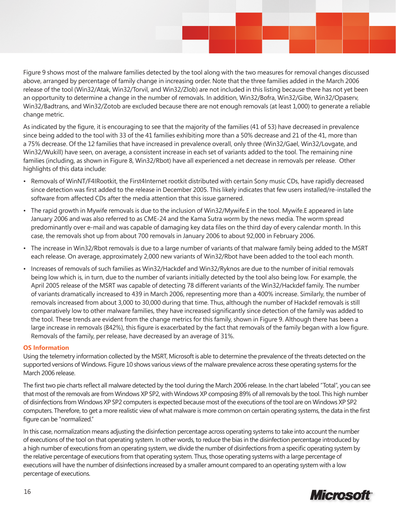Figure 9 shows most of the malware families detected by the tool along with the two measures for removal changes discussed above, arranged by percentage of family change in increasing order. Note that the three families added in the March 2006 release of the tool (Win32/Atak, Win32/Torvil, and Win32/Zlob) are not included in this listing because there has not yet been an opportunity to determine a change in the number of removals. In addition, Win32/Bofra, Win32/Gibe, Win32/Opaserv, Win32/Badtrans, and Win32/Zotob are excluded because there are not enough removals (at least 1,000) to generate a reliable change metric.

As indicated by the figure, it is encouraging to see that the majority of the families (41 of 53) have decreased in prevalence since being added to the tool with 33 of the 41 families exhibiting more than a 50% decrease and 21 of the 41, more than a 75% decrease. Of the 12 families that have increased in prevalence overall, only three (Win32/Gael, Win32/Lovgate, and Win32/Wukill) have seen, on average, a consistent increase in each set of variants added to the tool. The remaining nine families (including, as shown in Figure 8, Win32/Rbot) have all experienced a net decrease in removals per release. Other highlights of this data include:

- Removals of WinNT/F4IRootkit, the First4Internet rootkit distributed with certain Sony music CDs, have rapidly decreased since detection was first added to the release in December 2005. This likely indicates that few users installed/re-installed the software from affected CDs after the media attention that this issue garnered.
- The rapid growth in Mywife removals is due to the inclusion of Win32/Mywife.E in the tool. Mywife.E appeared in late January 2006 and was also referred to as CME-24 and the Kama Sutra worm by the news media. The worm spread predominantly over e-mail and was capable of damaging key data files on the third day of every calendar month. In this case, the removals shot up from about 700 removals in January 2006 to about 92,000 in February 2006.
- The increase in Win32/Rbot removals is due to a large number of variants of that malware family being added to the MSRT each release. On average, approximately 2,000 new variants of Win32/Rbot have been added to the tool each month.
- Increases of removals of such families as Win32/Hackdef and Win32/Ryknos are due to the number of initial removals being low which is, in turn, due to the number of variants initially detected by the tool also being low. For example, the April 2005 release of the MSRT was capable of detecting 78 different variants of the Win32/Hackdef family. The number of variants dramatically increased to 439 in March 2006, representing more than a 400% increase. Similarly, the number of removals increased from about 3,000 to 30,000 during that time. Thus, although the number of Hackdef removals is still comparatively low to other malware families, they have increased significantly since detection of the family was added to the tool. These trends are evident from the change metrics for this family, shown in Figure 9. Although there has been a large increase in removals (842%), this figure is exacerbated by the fact that removals of the family began with a low figure. Removals of the family, per release, have decreased by an average of 31%.

#### **OS Information**

Using the telemetry information collected by the MSRT, Microsoft is able to determine the prevalence of the threats detected on the supported versions of Windows. Figure 10 shows various views of the malware prevalence across these operating systems for the March 2006 release.

The first two pie charts reflect all malware detected by the tool during the March 2006 release. In the chart labeled "Total", you can see that most of the removals are from Windows XP SP2, with Windows XP composing 89% of all removals by the tool. This high number of disinfections from Windows XP SP2 computers is expected because most of the executions of the tool are on Windows XP SP2 computers. Therefore, to get a more realistic view of what malware is more common on certain operating systems, the data in the first figure can be "normalized."

In this case, normalization means adjusting the disinfection percentage across operating systems to take into account the number of executions of the tool on that operating system. In other words, to reduce the bias in the disinfection percentage introduced by a high number of executions from an operating system, we divide the number of disinfections from a specific operating system by the relative percentage of executions from that operating system. Thus, those operating systems with a large percentage of executions will have the number of disinfections increased by a smaller amount compared to an operating system with a low percentage of executions.

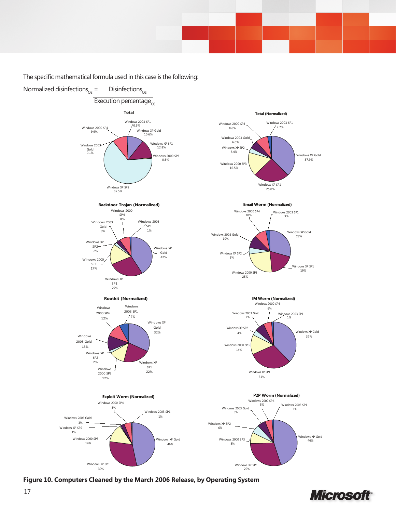The specific mathematical formula used in this case is the following:



**Figure 10. Computers Cleaned by the March 2006 Release, by Operating System**

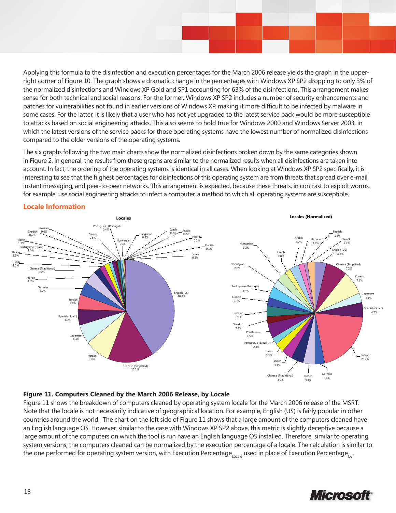Applying this formula to the disinfection and execution percentages for the March 2006 release yields the graph in the upperright corner of Figure 10. The graph shows a dramatic change in the percentages with Windows XP SP2 dropping to only 3% of the normalized disinfections and Windows XP Gold and SP1 accounting for 63% of the disinfections. This arrangement makes sense for both technical and social reasons. For the former, Windows XP SP2 includes a number of security enhancements and patches for vulnerabilities not found in earlier versions of Windows XP, making it more difficult to be infected by malware in some cases. For the latter, it is likely that a user who has not yet upgraded to the latest service pack would be more susceptible to attacks based on social engineering attacks. This also seems to hold true for Windows 2000 and Windows Server 2003, in which the latest versions of the service packs for those operating systems have the lowest number of normalized disinfections compared to the older versions of the operating systems.

The six graphs following the two main charts show the normalized disinfections broken down by the same categories shown in Figure 2. In general, the results from these graphs are similar to the normalized results when all disinfections are taken into account. In fact, the ordering of the operating systems is identical in all cases. When looking at Windows XP SP2 specifically, it is interesting to see that the highest percentages for disinfections of this operating system are from threats that spread over e-mail, instant messaging, and peer-to-peer networks. This arrangement is expected, because these threats, in contrast to exploit worms, for example, use social engineering attacks to infect a computer, a method to which all operating systems are susceptible.



# **Locale Information**

### **Figure 11. Computers Cleaned by the March 2006 Release, by Locale**

Figure 11 shows the breakdown of computers cleaned by operating system locale for the March 2006 release of the MSRT. Note that the locale is not necessarily indicative of geographical location. For example, English (US) is fairly popular in other countries around the world. The chart on the left side of Figure 11 shows that a large amount of the computers cleaned have an English language OS. However, similar to the case with Windows XP SP2 above, this metric is slightly deceptive because a large amount of the computers on which the tool is run have an English language OS installed. Therefore, similar to operating system versions, the computers cleaned can be normalized by the execution percentage of a locale. The calculation is similar to the one performed for operating system version, with Execution Percentage<sub>locale</sub> used in place of Execution Percentage<sub>os</sub>.

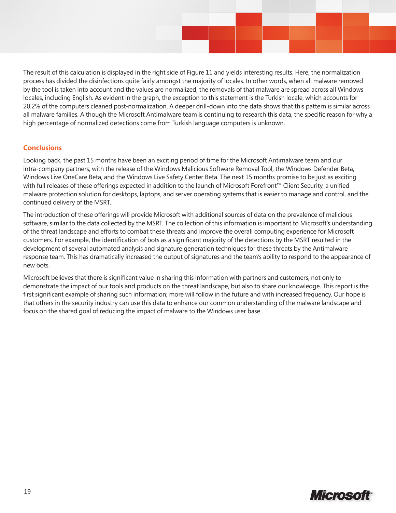The result of this calculation is displayed in the right side of Figure 11 and yields interesting results. Here, the normalization process has divided the disinfections quite fairly amongst the majority of locales. In other words, when all malware removed by the tool is taken into account and the values are normalized, the removals of that malware are spread across all Windows locales, including English. As evident in the graph, the exception to this statement is the Turkish locale, which accounts for 20.2% of the computers cleaned post-normalization. A deeper drill-down into the data shows that this pattern is similar across all malware families. Although the Microsoft Antimalware team is continuing to research this data, the specific reason for why a high percentage of normalized detections come from Turkish language computers is unknown.

# **Conclusions**

Looking back, the past 15 months have been an exciting period of time for the Microsoft Antimalware team and our intra-company partners, with the release of the Windows Malicious Software Removal Tool, the Windows Defender Beta, Windows Live OneCare Beta, and the Windows Live Safety Center Beta. The next 15 months promise to be just as exciting with full releases of these offerings expected in addition to the launch of Microsoft Forefront™ Client Security, a unified malware protection solution for desktops, laptops, and server operating systems that is easier to manage and control, and the continued delivery of the MSRT.

The introduction of these offerings will provide Microsoft with additional sources of data on the prevalence of malicious software, similar to the data collected by the MSRT. The collection of this information is important to Microsoft's understanding of the threat landscape and efforts to combat these threats and improve the overall computing experience for Microsoft customers. For example, the identification of bots as a significant majority of the detections by the MSRT resulted in the development of several automated analysis and signature generation techniques for these threats by the Antimalware response team. This has dramatically increased the output of signatures and the team's ability to respond to the appearance of new bots.

Microsoft believes that there is significant value in sharing this information with partners and customers, not only to demonstrate the impact of our tools and products on the threat landscape, but also to share our knowledge. This report is the first significant example of sharing such information; more will follow in the future and with increased frequency. Our hope is that others in the security industry can use this data to enhance our common understanding of the malware landscape and focus on the shared goal of reducing the impact of malware to the Windows user base.

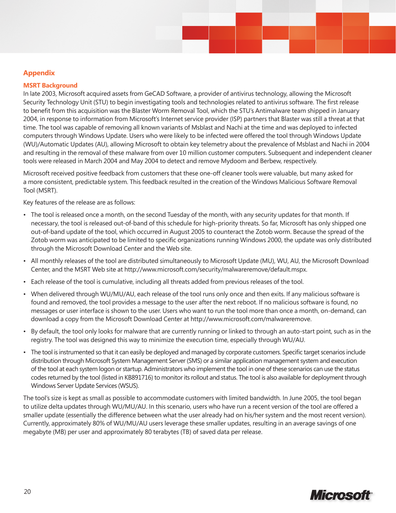## **Appendix**

#### **MSRT Background**

In late 2003, Microsoft acquired assets from GeCAD Software, a provider of antivirus technology, allowing the Microsoft Security Technology Unit (STU) to begin investigating tools and technologies related to antivirus software. The first release to benefit from this acquisition was the Blaster Worm Removal Tool, which the STU's Antimalware team shipped in January 2004, in response to information from Microsoft's Internet service provider (ISP) partners that Blaster was still a threat at that time. The tool was capable of removing all known variants of Msblast and Nachi at the time and was deployed to infected computers through Windows Update. Users who were likely to be infected were offered the tool through Windows Update (WU)/Automatic Updates (AU), allowing Microsoft to obtain key telemetry about the prevalence of Msblast and Nachi in 2004 and resulting in the removal of these malware from over 10 million customer computers. Subsequent and independent cleaner tools were released in March 2004 and May 2004 to detect and remove Mydoom and Berbew, respectively.

Microsoft received positive feedback from customers that these one-off cleaner tools were valuable, but many asked for a more consistent, predictable system. This feedback resulted in the creation of the Windows Malicious Software Removal Tool (MSRT).

Key features of the release are as follows:

- The tool is released once a month, on the second Tuesday of the month, with any security updates for that month. If necessary, the tool is released out-of-band of this schedule for high-priority threats. So far, Microsoft has only shipped one out-of-band update of the tool, which occurred in August 2005 to counteract the Zotob worm. Because the spread of the Zotob worm was anticipated to be limited to specific organizations running Windows 2000, the update was only distributed through the Microsoft Download Center and the Web site.
- All monthly releases of the tool are distributed simultaneously to Microsoft Update (MU), WU, AU, the Microsoft Download Center, and the MSRT Web site at http://www.microsoft.com/security/malwareremove/default.mspx.
- Each release of the tool is cumulative, including all threats added from previous releases of the tool.
- When delivered through WU/MU/AU, each release of the tool runs only once and then exits. If any malicious software is found and removed, the tool provides a message to the user after the next reboot. If no malicious software is found, no messages or user interface is shown to the user. Users who want to run the tool more than once a month, on-demand, can download a copy from the Microsoft Download Center at http://www.microsoft.com/malwareremove.
- By default, the tool only looks for malware that are currently running or linked to through an auto-start point, such as in the registry. The tool was designed this way to minimize the execution time, especially through WU/AU.
- The tool is instrumented so that it can easily be deployed and managed by corporate customers. Specific target scenarios include distribution through Microsoft System Management Server (SMS) or a similar application management system and execution of the tool at each system logon or startup. Administrators who implement the tool in one of these scenarios can use the status codes returned by the tool (listed in KB891716) to monitor its rollout and status. The tool is also available for deployment through Windows Server Update Services (WSUS).

The tool's size is kept as small as possible to accommodate customers with limited bandwidth. In June 2005, the tool began to utilize delta updates through WU/MU/AU. In this scenario, users who have run a recent version of the tool are offered a smaller update (essentially the difference between what the user already had on his/her system and the most recent version). Currently, approximately 80% of WU/MU/AU users leverage these smaller updates, resulting in an average savings of one megabyte (MB) per user and approximately 80 terabytes (TB) of saved data per release.